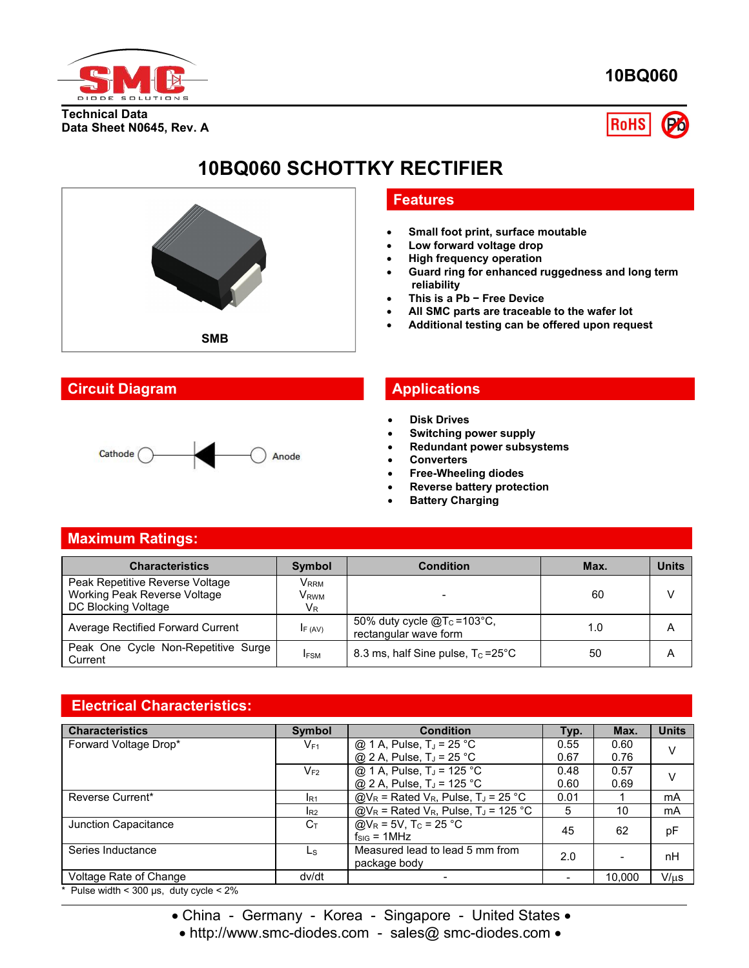

**10BQ060**

**Technical Data Data Sheet N0645, Rev. A**



## **10BQ060 SCHOTTKY RECTIFIER**



#### **Circuit Diagram Applications**



#### **Features**

- **Small foot print, surface moutable**
- **Low forward voltage drop**
- **High frequency operation**
- **Guard ring for enhanced ruggedness and long term reliability**
- **This is a Pb − Free Device**
- **All SMC parts are traceable to the wafer lot**
- **Additional testing can be offered upon request**

- **Disk Drives**
- **Switching power supply**
- **Redundant power subsystems**
- **Converters**
- **Free-Wheeling diodes**
- **Reverse battery protection**
- **Battery Charging**

#### **Maximum Ratings:**

| <b>Characteristics</b>                                                                 | <b>Symbol</b>                                   | <b>Condition</b>                                         | Max. | <b>Units</b> |
|----------------------------------------------------------------------------------------|-------------------------------------------------|----------------------------------------------------------|------|--------------|
| Peak Repetitive Reverse Voltage<br>Working Peak Reverse Voltage<br>DC Blocking Voltage | V <sub>rrm</sub><br>V <sub>RWM</sub><br>$V_{R}$ |                                                          | 60   |              |
| Average Rectified Forward Current                                                      | IF (AV)                                         | 50% duty cycle $@T_c = 103°C$ ,<br>rectangular wave form | 1.0  | A            |
| Peak One Cycle Non-Repetitive Surge<br>Current                                         | <b>IFSM</b>                                     | 8.3 ms, half Sine pulse, $T_c = 25^{\circ}C$             | 50   | A            |

### **Electrical Characteristics:**

| <b>Characteristics</b> | <b>Symbol</b>   | <b>Condition</b>                                                  | Typ.                     | Max.                     | <b>Units</b> |
|------------------------|-----------------|-------------------------------------------------------------------|--------------------------|--------------------------|--------------|
| Forward Voltage Drop*  | $V_{F1}$        | @ 1 A, Pulse, $T_J = 25$ °C                                       | 0.55                     | 0.60                     |              |
|                        |                 | @ 2 A, Pulse, $T_J = 25 °C$                                       | 0.67                     | 0.76                     |              |
|                        | $V_{F2}$        | @ 1 A, Pulse, T <sub>J</sub> = 125 °C                             | 0.48                     | 0.57                     |              |
|                        |                 | @ 2 A, Pulse, $T_J = 125 °C$                                      | 0.60                     | 0.69                     |              |
| Reverse Current*       | R <sub>1</sub>  | $@V_R$ = Rated V <sub>R</sub> , Pulse, T <sub>J</sub> = 25 °C     | 0.01                     |                          | mA           |
|                        | I <sub>R2</sub> | $@V_R$ = Rated V <sub>R</sub> , Pulse, T <sub>J</sub> = 125 °C    | 5                        | 10                       | mA           |
| Junction Capacitance   | $C_{T}$         | $Q/V_R = 5V$ , T <sub>C</sub> = 25 °C<br>$f_{\text{SIG}} = 1$ MHz | 45                       | 62                       | pF           |
| Series Inductance      | Ls              | Measured lead to lead 5 mm from<br>package body                   | 2.0                      | $\overline{\phantom{0}}$ | nH           |
| Voltage Rate of Change | dv/dt           |                                                                   | $\overline{\phantom{0}}$ | 10,000                   | $V/\mu s$    |

Pulse width  $<$  300 µs, duty cycle  $<$  2%

• China - Germany - Korea - Singapore - United States •

• http://www.smc-diodes.com - sales@ smc-diodes.com •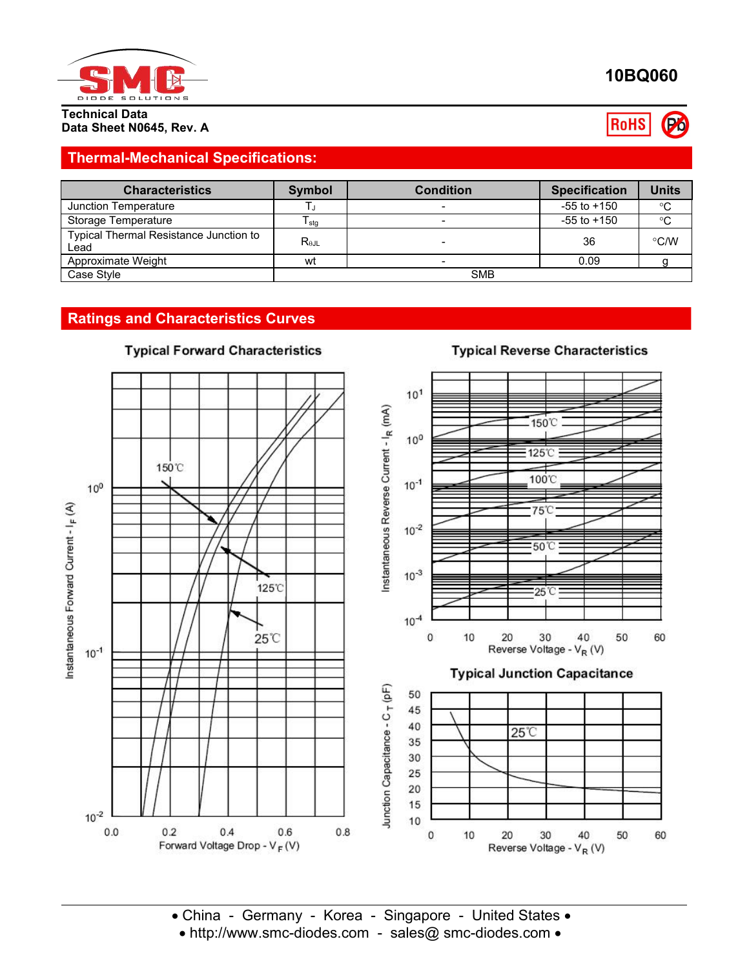

## **10BQ060**

**RoHS** Po

**Typical Reverse Characteristics** 

# **Data Sheet N0645, Rev. A**

### **Thermal-Mechanical Specifications:**

| <b>Characteristics</b>                         | Symbol          | <b>Condition</b> | <b>Specification</b> | <b>Units</b> |
|------------------------------------------------|-----------------|------------------|----------------------|--------------|
| Junction Temperature                           |                 |                  | $-55$ to $+150$      | $^{\circ}C$  |
| Storage Temperature                            | I stg           |                  | $-55$ to $+150$      | $^{\circ}C$  |
| Typical Thermal Resistance Junction to<br>Lead | $R_{\theta JL}$ |                  | 36                   | °C/W         |
| Approximate Weight                             | wt              |                  | 0.09                 |              |
| Case Style                                     |                 | <b>SMB</b>       |                      |              |

#### **Ratings and Characteristics Curves**



## **Typical Forward Characteristics**

• China - Germany - Korea - Singapore - United States • • http://www.smc-diodes.com - sales@ smc-diodes.com •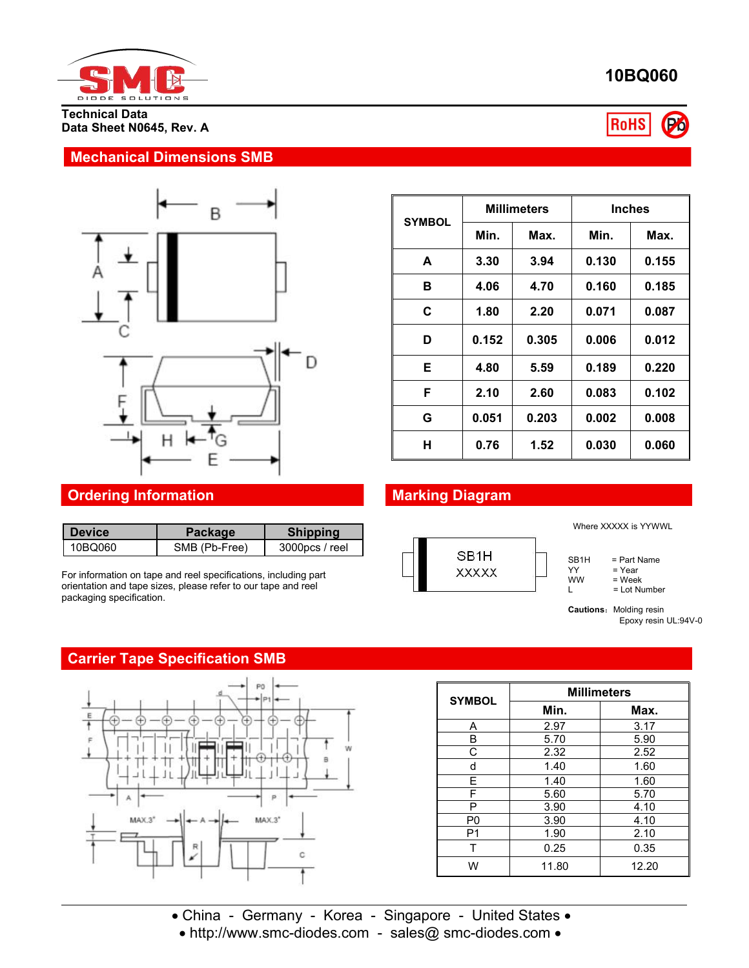

**Technical Data Data Sheet N0645, Rev. A**

#### **Mechanical Dimensions SMB**



#### **Ordering Information Marking Diagram**

| l Device | Package       | <b>Shipping</b>   |      |
|----------|---------------|-------------------|------|
| 10BQ060  | SMB (Pb-Free) | $3000$ pcs / reel | ר הי |

For information on tape and reel specifications, including part orientation and tape sizes, please refer to our tape and reel packaging specification.

### **Carrier Tape Specification SMB**



| <b>SYMBOL</b> | <b>Millimeters</b> |       | <b>Inches</b> |       |
|---------------|--------------------|-------|---------------|-------|
|               | Min.               | Max.  | Min.          | Max.  |
| A             | 3.30               | 3.94  | 0.130         | 0.155 |
| в             | 4.06               | 4.70  | 0.160         | 0.185 |
| C             | 1.80               | 2.20  | 0.071         | 0.087 |
| D             | 0.152              | 0.305 | 0.006         | 0.012 |
| Е             | 4.80               | 5.59  | 0.189         | 0.220 |
| F             | 2.10               | 2.60  | 0.083         | 0.102 |
| G             | 0.051              | 0.203 | 0.002         | 0.008 |
| н             | 0.76               | 1.52  | 0.030         | 0.060 |



SYMBOL Min.

Where XXXXX is YYWWL

 $SB1H = Part Name  
YY = Year$ 

YY = Year<br>WW = Week

 $\begin{array}{lll}\n\text{WW} & = \text{Week} \\
\text{L} & = \text{Lot Nu}\n\end{array}$ = Lot Number

**Millimeters**

**Cautions:** Molding resin Epoxy resin UL:94V-0

**Min. Max.**

A 2.97 3.17 B | 5.70 | 5.90 | C 2.32 2.52  $\parallel$ d | 1.40 | 1.60 | E | 1.40 | 1.60 | F | 5.60 | 5.70 | P 3.90 4.10 P0 3.90 4.10 P1 1.90 2.10 2 T | 0.25 | 0.35 | W | 11.80 | 12.20 || ||

# **10BQ060**



| • China - Germany - Korea - Singapore - United States • |  |
|---------------------------------------------------------|--|
| • http://www.smc-diodes.com - sales@ smc-diodes.com •   |  |